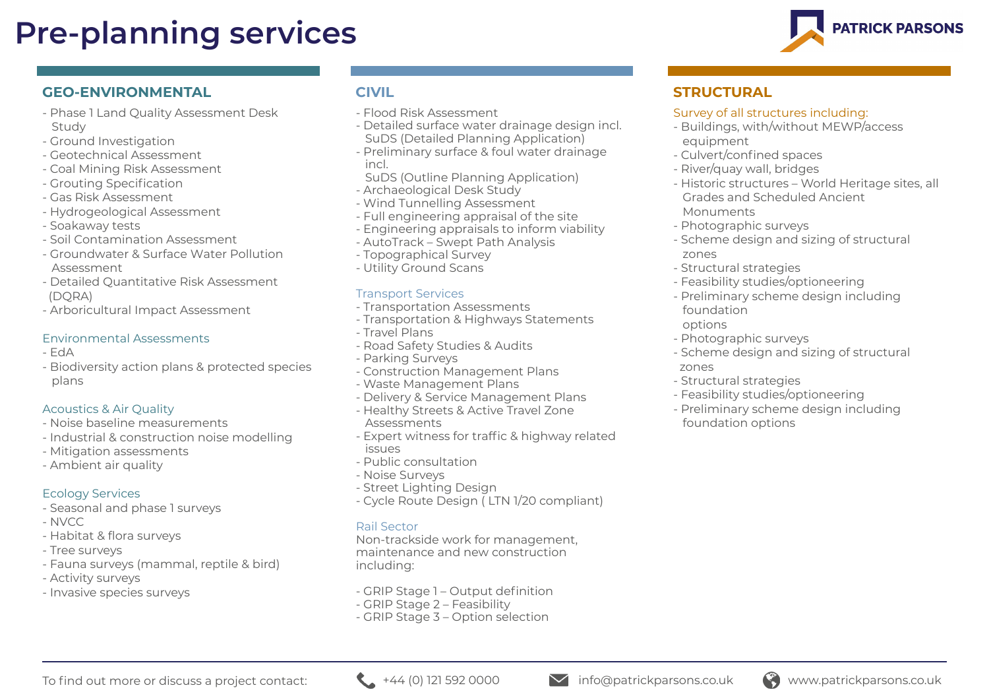# **Pre-planning services**

# **GEO-ENVIRONMENTAL**

- Phase 1 Land Quality Assessment Desk Study
- Ground Investigation
- Geotechnical Assessment
- Coal Mining Risk Assessment
- Grouting Specification
- Gas Risk Assessment
- Hydrogeological Assessment
- Soakaway tests
- Soil Contamination Assessment
- Groundwater & Surface Water Pollution Assessment
- Detailed Quantitative Risk Assessment (DQRA)
- Arboricultural Impact Assessment

#### Environmental Assessments

- EdA
- Biodiversity action plans & protected species plans

#### Acoustics & Air Quality

- Noise baseline measurements
- Industrial & construction noise modelling
- Mitigation assessments
- Ambient air quality

## Ecology Services

- Seasonal and phase 1 surveys
- NVCC
- Habitat & flora surveys
- Tree surveys
- Fauna surveys (mammal, reptile & bird)
- Activity surveys
- Invasive species surveys

# **CIVIL**

- Flood Risk Assessment
- Detailed surface water drainage design incl. SuDS (Detailed Planning Application)
- Preliminary surface & foul water drainage incl.
- SuDS (Outline Planning Application)
- Archaeological Desk Study
- Wind Tunnelling Assessment
- Full engineering appraisal of the site
- Engineering appraisals to inform viability
- AutoTrack Swept Path Analysis
- Topographical Survey
- Utility Ground Scans

#### Transport Services

- Transportation Assessments
- Transportation & Highways Statements
- Travel Plans
- Road Safety Studies & Audits
- Parking Surveys
- Construction Management Plans
- Waste Management Plans
- Delivery & Service Management Plans
- Healthy Streets & Active Travel Zone Assessments
- Expert witness for traffic & highway related issues
- Public consultation
- Noise Surveys
- Street Lighting Design
- Cycle Route Design ( LTN 1/20 compliant)

#### Rail Sector

Non-trackside work for management, maintenance and new construction including:

- GRIP Stage 1 Output definition
- GRIP Stage 2 Feasibility
- GRIP Stage 3 Option selection

# **STRUCTURAL**

#### Survey of all structures including:

- Buildings, with/without MEWP/access equipment
- Culvert/confined spaces
- River/quay wall, bridges
- Historic structures World Heritage sites, all Grades and Scheduled Ancient Monuments
- Photographic surveys
- Scheme design and sizing of structural zones
- Structural strategies
- Feasibility studies/optioneering
- Preliminary scheme design including foundation
- options
- Photographic surveys
- Scheme design and sizing of structural zones
- Structural strategies
- Feasibility studies/optioneering
- Preliminary scheme design including foundation options